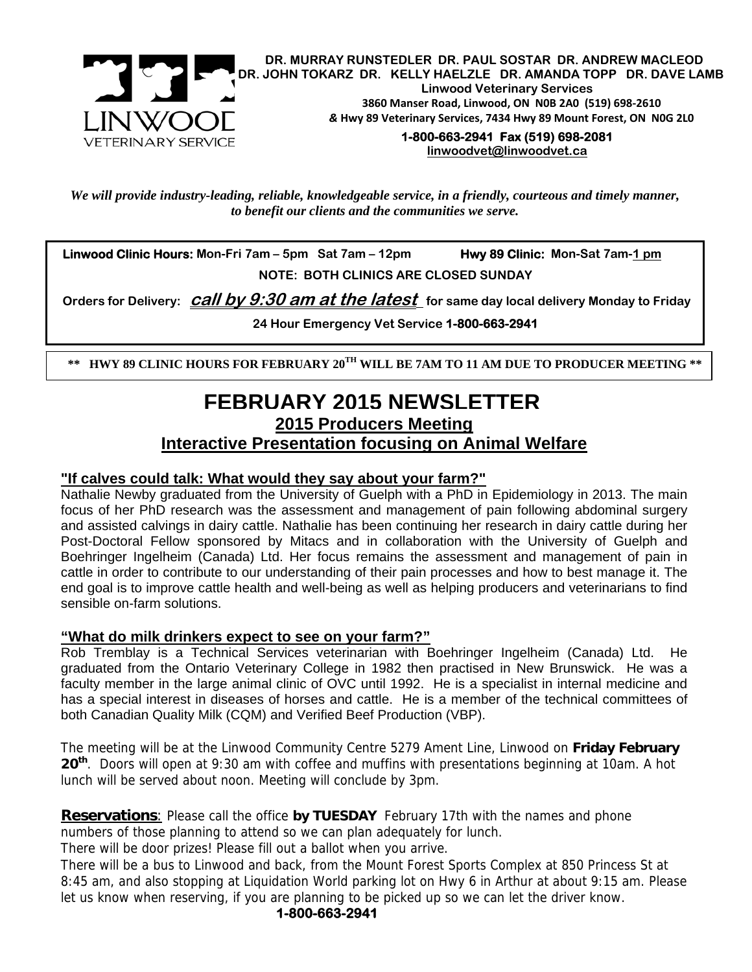

*We will provide industry-leading, reliable, knowledgeable service, in a friendly, courteous and timely manner, to benefit our clients and the communities we serve.* 

 **Linwood Clinic Hours: Mon-Fri 7am – 5pm Sat 7am – 12pm Hwy 89 Clinic: Mon-Sat 7am-1 pm NOTE: BOTH CLINICS ARE CLOSED SUNDAY** 

 **Orders for Delivery: call by 9:30 am at the latest for same day local delivery Monday to Friday** 

**24 Hour Emergency Vet Service 1-800-663-2941** 

 **\*\* HWY 89 CLINIC HOURS FOR FEBRUARY 20TH WILL BE 7AM TO 11 AM DUE TO PRODUCER MEETING \*\*** 

### **2015 Producers Meeting Interactive Presentation focusing on Animal Welfare FEBRUARY 2015 NEWSLETTER**

### **"If calves could talk: What would they say about your farm?"**

Nathalie Newby graduated from the University of Guelph with a PhD in Epidemiology in 2013. The main focus of her PhD research was the assessment and management of pain following abdominal surgery and assisted calvings in dairy cattle. Nathalie has been continuing her research in dairy cattle during her Post-Doctoral Fellow sponsored by Mitacs and in collaboration with the University of Guelph and Boehringer Ingelheim (Canada) Ltd. Her focus remains the assessment and management of pain in cattle in order to contribute to our understanding of their pain processes and how to best manage it. The end goal is to improve cattle health and well-being as well as helping producers and veterinarians to find sensible on-farm solutions.

#### **"What do milk drinkers expect to see on your farm?"**

Rob Tremblay is a Technical Services veterinarian with Boehringer Ingelheim (Canada) Ltd. He graduated from the Ontario Veterinary College in 1982 then practised in New Brunswick. He was a faculty member in the large animal clinic of OVC until 1992. He is a specialist in internal medicine and has a special interest in diseases of horses and cattle. He is a member of the technical committees of both Canadian Quality Milk (CQM) and Verified Beef Production (VBP).

The meeting will be at the Linwood Community Centre 5279 Ament Line, Linwood on **Friday February 20th**. Doors will open at 9:30 am with coffee and muffins with presentations beginning at 10am. A hot lunch will be served about noon. Meeting will conclude by 3pm.

**Reservations**: Please call the office **by TUESDAY** February 17th with the names and phone numbers of those planning to attend so we can plan adequately for lunch.

There will be door prizes! Please fill out a ballot when you arrive.

There will be a bus to Linwood and back, from the Mount Forest Sports Complex at 850 Princess St at 8:45 am, and also stopping at Liquidation World parking lot on Hwy 6 in Arthur at about 9:15 am. Please let us know when reserving, if you are planning to be picked up so we can let the driver know.